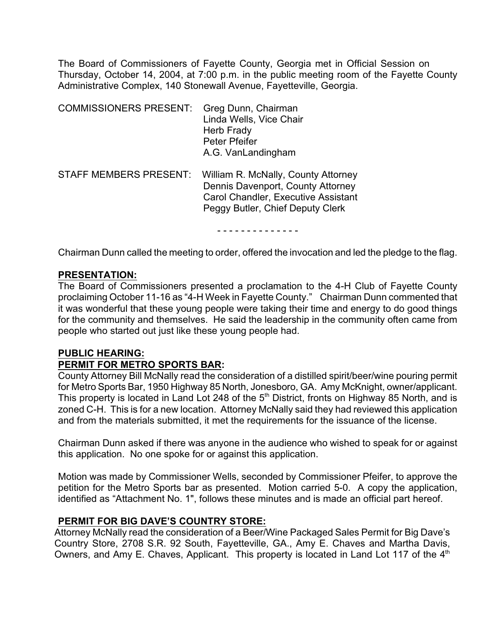The Board of Commissioners of Fayette County, Georgia met in Official Session on Thursday, October 14, 2004, at 7:00 p.m. in the public meeting room of the Fayette County Administrative Complex, 140 Stonewall Avenue, Fayetteville, Georgia.

| <b>COMMISSIONERS PRESENT:</b> | Greg Dunn, Chairman<br>Linda Wells, Vice Chair<br>Herb Frady<br>Peter Pfeifer<br>A.G. VanLandingham                                                 |
|-------------------------------|-----------------------------------------------------------------------------------------------------------------------------------------------------|
| <b>STAFF MEMBERS PRESENT:</b> | William R. McNally, County Attorney<br>Dennis Davenport, County Attorney<br>Carol Chandler, Executive Assistant<br>Peggy Butler, Chief Deputy Clerk |

- - - - - - - - - - - - - -

Chairman Dunn called the meeting to order, offered the invocation and led the pledge to the flag.

#### **PRESENTATION:**

The Board of Commissioners presented a proclamation to the 4-H Club of Fayette County proclaiming October 11-16 as "4-H Week in Fayette County." Chairman Dunn commented that it was wonderful that these young people were taking their time and energy to do good things for the community and themselves. He said the leadership in the community often came from people who started out just like these young people had.

#### **PUBLIC HEARING:**

#### **PERMIT FOR METRO SPORTS BAR:**

County Attorney Bill McNally read the consideration of a distilled spirit/beer/wine pouring permit for Metro Sports Bar, 1950 Highway 85 North, Jonesboro, GA. Amy McKnight, owner/applicant. This property is located in Land Lot 248 of the 5<sup>th</sup> District, fronts on Highway 85 North, and is zoned C-H. This is for a new location.Attorney McNally said they had reviewed this application and from the materials submitted, it met the requirements for the issuance of the license.

Chairman Dunn asked if there was anyone in the audience who wished to speak for or against this application. No one spoke for or against this application.

Motion was made by Commissioner Wells, seconded by Commissioner Pfeifer, to approve the petition for the Metro Sports bar as presented. Motion carried 5-0. A copy the application, identified as "Attachment No. 1", follows these minutes and is made an official part hereof.

#### **PERMIT FOR BIG DAVE'S COUNTRY STORE:**

Attorney McNally read the consideration of a Beer/Wine Packaged Sales Permit for Big Dave's Country Store, 2708 S.R. 92 South, Fayetteville, GA., Amy E. Chaves and Martha Davis, Owners, and Amy E. Chaves, Applicant. This property is located in Land Lot 117 of the  $4<sup>th</sup>$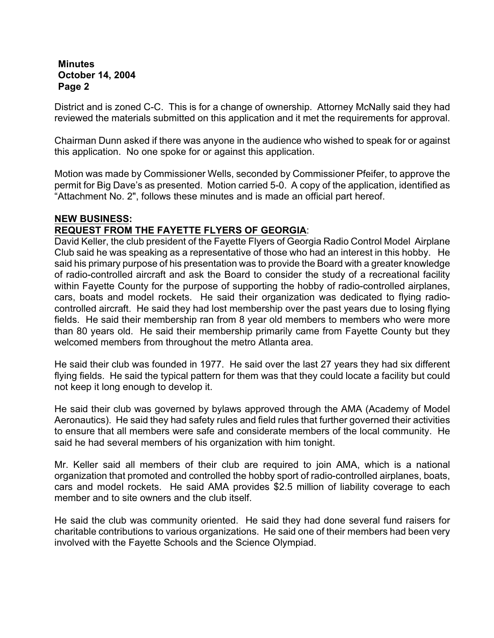District and is zoned C-C. This is for a change of ownership. Attorney McNally said they had reviewed the materials submitted on this application and it met the requirements for approval.

Chairman Dunn asked if there was anyone in the audience who wished to speak for or against this application. No one spoke for or against this application.

Motion was made by Commissioner Wells, seconded by Commissioner Pfeifer, to approve the permit for Big Dave's as presented. Motion carried 5-0. A copy of the application, identified as "Attachment No. 2", follows these minutes and is made an official part hereof.

### **NEW BUSINESS:**

# **REQUEST FROM THE FAYETTE FLYERS OF GEORGIA**:

David Keller, the club president of the Fayette Flyers of Georgia Radio Control Model Airplane Club said he was speaking as a representative of those who had an interest in this hobby. He said his primary purpose of his presentation was to provide the Board with a greater knowledge of radio-controlled aircraft and ask the Board to consider the study of a recreational facility within Fayette County for the purpose of supporting the hobby of radio-controlled airplanes, cars, boats and model rockets.He said their organization was dedicated to flying radiocontrolled aircraft.He said they had lost membership over the past years due to losing flying fields. He said their membership ran from 8 year old members to members who were more than 80 years old. He said their membership primarily came from Fayette County but they welcomed members from throughout the metro Atlanta area.

He said their club was founded in 1977. He said over the last 27 years they had six different flying fields. He said the typical pattern for them was that they could locate a facility but could not keep it long enough to develop it.

He said their club was governed by bylaws approved through the AMA (Academy of Model Aeronautics). He said they had safety rules and field rules that further governed their activities to ensure that all members were safe and considerate members of the local community. He said he had several members of his organization with him tonight.

Mr. Keller said all members of their club are required to join AMA, which is a national organization that promoted and controlled the hobby sport of radio-controlled airplanes, boats, cars and model rockets. He said AMA provides \$2.5 million of liability coverage to each member and to site owners and the club itself.

He said the club was community oriented. He said they had done several fund raisers for charitable contributions to various organizations. He said one of their members had been very involved with the Fayette Schools and the Science Olympiad.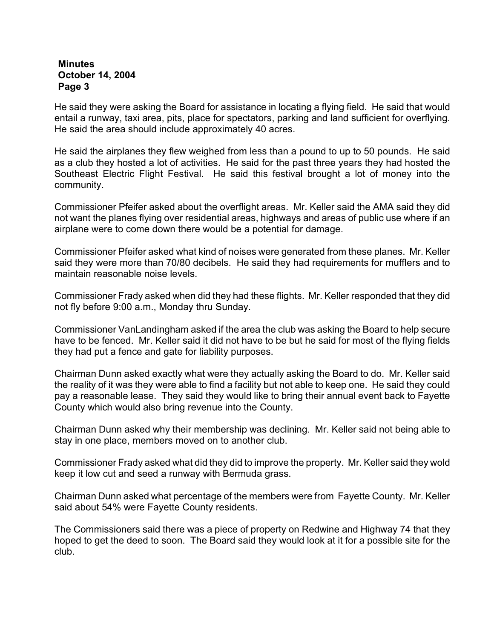He said they were asking the Board for assistance in locating a flying field. He said that would entail a runway, taxi area, pits, place for spectators, parking and land sufficient for overflying. He said the area should include approximately 40 acres.

He said the airplanes they flew weighed from less than a pound to up to 50 pounds. He said as a club they hosted a lot of activities. He said for the past three years they had hosted the Southeast Electric Flight Festival. He said this festival brought a lot of money into the community.

Commissioner Pfeifer asked about the overflight areas. Mr. Keller said the AMA said they did not want the planes flying over residential areas, highways and areas of public use where if an airplane were to come down there would be a potential for damage.

Commissioner Pfeifer asked what kind of noises were generated from these planes. Mr. Keller said they were more than 70/80 decibels. He said they had requirements for mufflers and to maintain reasonable noise levels.

Commissioner Frady asked when did they had these flights. Mr. Keller responded that they did not fly before 9:00 a.m., Monday thru Sunday.

Commissioner VanLandingham asked if the area the club was asking the Board to help secure have to be fenced. Mr. Keller said it did not have to be but he said for most of the flying fields they had put a fence and gate for liability purposes.

Chairman Dunn asked exactly what were they actually asking the Board to do. Mr. Keller said the reality of it was they were able to find a facility but not able to keep one. He said they could pay a reasonable lease. They said they would like to bring their annual event back to Fayette County which would also bring revenue into the County.

Chairman Dunn asked why their membership was declining. Mr. Keller said not being able to stay in one place, members moved on to another club.

Commissioner Frady asked what did they did to improve the property. Mr. Keller said they wold keep it low cut and seed a runway with Bermuda grass.

Chairman Dunn asked what percentage of the members were from Fayette County. Mr. Keller said about 54% were Fayette County residents.

The Commissioners said there was a piece of property on Redwine and Highway 74 that they hoped to get the deed to soon. The Board said they would look at it for a possible site for the club.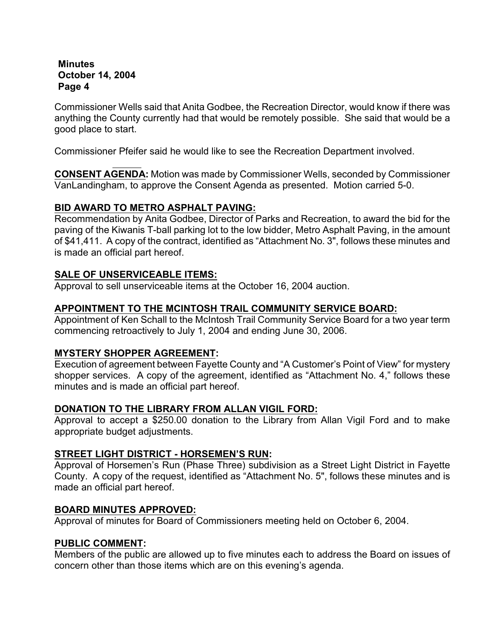Commissioner Wells said that Anita Godbee, the Recreation Director, would know if there was anything the County currently had that would be remotely possible. She said that would be a good place to start.

Commissioner Pfeifer said he would like to see the Recreation Department involved.

**CONSENT AGENDA:** Motion was made by Commissioner Wells, seconded by Commissioner VanLandingham, to approve the Consent Agenda as presented. Motion carried 5-0.

## **BID AWARD TO METRO ASPHALT PAVING:**

Recommendation by Anita Godbee, Director of Parks and Recreation, to award the bid for the paving of the Kiwanis T-ball parking lot to the low bidder, Metro Asphalt Paving, in the amount of \$41,411. A copy of the contract, identified as "Attachment No. 3", follows these minutes and is made an official part hereof.

# **SALE OF UNSERVICEABLE ITEMS:**

Approval to sell unserviceable items at the October 16, 2004 auction.

## **APPOINTMENT TO THE MCINTOSH TRAIL COMMUNITY SERVICE BOARD:**

Appointment of Ken Schall to the McIntosh Trail Community Service Board for a two year term commencing retroactively to July 1, 2004 and ending June 30, 2006.

## **MYSTERY SHOPPER AGREEMENT:**

Execution of agreement between Fayette County and "A Customer's Point of View" for mystery shopper services. A copy of the agreement, identified as "Attachment No. 4," follows these minutes and is made an official part hereof.

## **DONATION TO THE LIBRARY FROM ALLAN VIGIL FORD:**

Approval to accept a \$250.00 donation to the Library from Allan Vigil Ford and to make appropriate budget adjustments.

## **STREET LIGHT DISTRICT - HORSEMEN'S RUN:**

Approval of Horsemen's Run (Phase Three) subdivision as a Street Light District in Fayette County. A copy of the request, identified as "Attachment No. 5", follows these minutes and is made an official part hereof.

## **BOARD MINUTES APPROVED:**

Approval of minutes for Board of Commissioners meeting held on October 6, 2004.

## **PUBLIC COMMENT:**

Members of the public are allowed up to five minutes each to address the Board on issues of concern other than those items which are on this evening's agenda.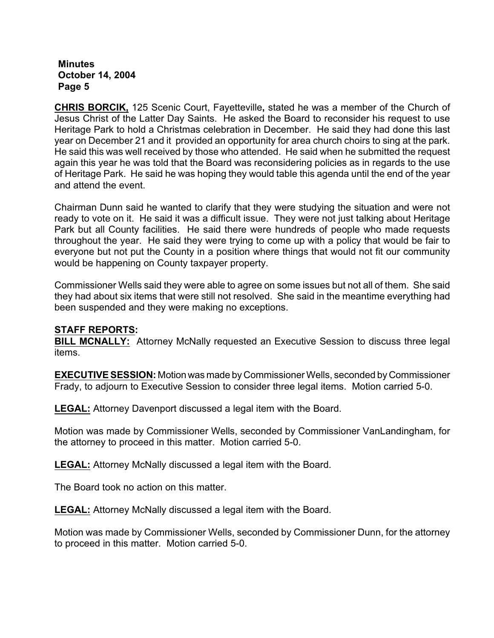**CHRIS BORCIK,** 125 Scenic Court, Fayetteville**,** stated he was a member of the Church of Jesus Christ of the Latter Day Saints. He asked the Board to reconsider his request to use Heritage Park to hold a Christmas celebration in December. He said they had done this last year on December 21 and it provided an opportunity for area church choirs to sing at the park. He said this was well received by those who attended. He said when he submitted the request again this year he was told that the Board was reconsidering policies as in regards to the use of Heritage Park. He said he was hoping they would table this agenda until the end of the year and attend the event.

Chairman Dunn said he wanted to clarify that they were studying the situation and were not ready to vote on it. He said it was a difficult issue. They were not just talking about Heritage Park but all County facilities. He said there were hundreds of people who made requests throughout the year. He said they were trying to come up with a policy that would be fair to everyone but not put the County in a position where things that would not fit our community would be happening on County taxpayer property.

Commissioner Wells said they were able to agree on some issues but not all of them. She said they had about six items that were still not resolved. She said in the meantime everything had been suspended and they were making no exceptions.

#### **STAFF REPORTS:**

**BILL MCNALLY:** Attorney McNally requested an Executive Session to discuss three legal items.

**EXECUTIVE SESSION:** Motion was made by Commissioner Wells, seconded by Commissioner Frady, to adjourn to Executive Session to consider three legal items. Motion carried 5-0.

**LEGAL:** Attorney Davenport discussed a legal item with the Board.

Motion was made by Commissioner Wells, seconded by Commissioner VanLandingham, for the attorney to proceed in this matter. Motion carried 5-0.

**LEGAL:** Attorney McNally discussed a legal item with the Board.

The Board took no action on this matter.

**LEGAL:** Attorney McNally discussed a legal item with the Board.

Motion was made by Commissioner Wells, seconded by Commissioner Dunn, for the attorney to proceed in this matter. Motion carried 5-0.